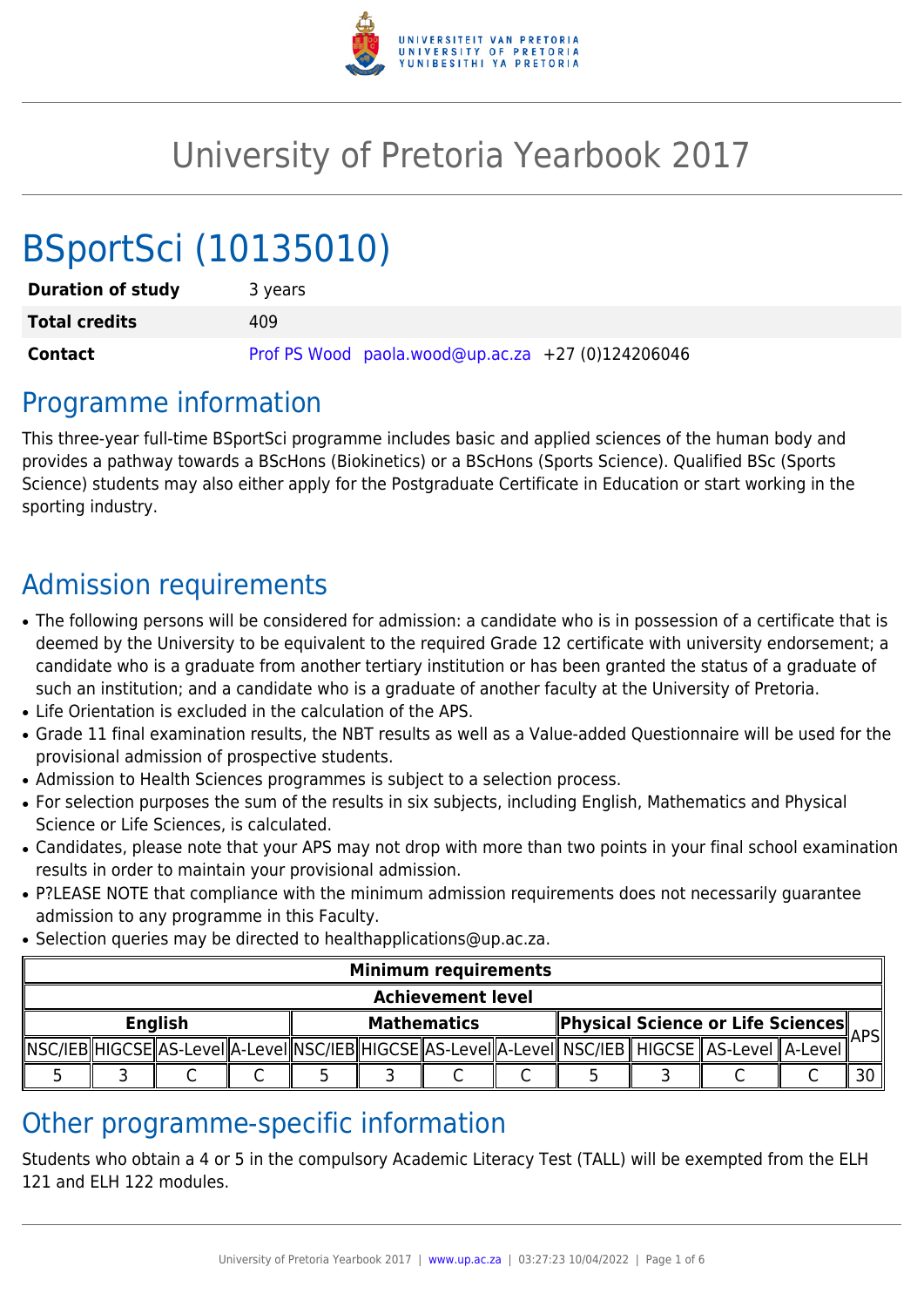

# University of Pretoria Yearbook 2017

# BSportSci (10135010)

| <b>Duration of study</b> | 3 years                                           |
|--------------------------|---------------------------------------------------|
| <b>Total credits</b>     | 409                                               |
| <b>Contact</b>           | Prof PS Wood paola.wood@up.ac.za +27 (0)124206046 |

## Programme information

This three-year full-time BSportSci programme includes basic and applied sciences of the human body and provides a pathway towards a BScHons (Biokinetics) or a BScHons (Sports Science). Qualified BSc (Sports Science) students may also either apply for the Postgraduate Certificate in Education or start working in the sporting industry.

# Admission requirements

- The following persons will be considered for admission: a candidate who is in possession of a certificate that is deemed by the University to be equivalent to the required Grade 12 certificate with university endorsement; a candidate who is a graduate from another tertiary institution or has been granted the status of a graduate of such an institution; and a candidate who is a graduate of another faculty at the University of Pretoria.
- Life Orientation is excluded in the calculation of the APS.
- Grade 11 final examination results, the NBT results as well as a Value-added Questionnaire will be used for the provisional admission of prospective students.
- Admission to Health Sciences programmes is subject to a selection process.
- For selection purposes the sum of the results in six subjects, including English, Mathematics and Physical Science or Life Sciences, is calculated.
- Candidates, please note that your APS may not drop with more than two points in your final school examination results in order to maintain your provisional admission.
- P?LEASE NOTE that compliance with the minimum admission requirements does not necessarily quarantee admission to any programme in this Faculty.
- Selection queries may be directed to healthapplications@up.ac.za.

| <b>Minimum requirements</b> |  |  |  |                    |  |  |  |  |  |                                                                                                                   |  |             |  |
|-----------------------------|--|--|--|--------------------|--|--|--|--|--|-------------------------------------------------------------------------------------------------------------------|--|-------------|--|
| <b>Achievement level</b>    |  |  |  |                    |  |  |  |  |  |                                                                                                                   |  |             |  |
| <b>English</b>              |  |  |  | <b>Mathematics</b> |  |  |  |  |  | <b>Physical Science or Life Sciences</b>                                                                          |  | <b>\PS </b> |  |
|                             |  |  |  |                    |  |  |  |  |  | NSC/IEB  HIGCSE  AS-LeveI  A-LeveI  NSC/IEB  HIGCSE  AS-LeveI  A-LeveI   NSC/IEB    HIGCSE    AS-LeveI    A-LeveI |  |             |  |
|                             |  |  |  |                    |  |  |  |  |  |                                                                                                                   |  |             |  |

# Other programme-specific information

Students who obtain a 4 or 5 in the compulsory Academic Literacy Test (TALL) will be exempted from the ELH 121 and ELH 122 modules.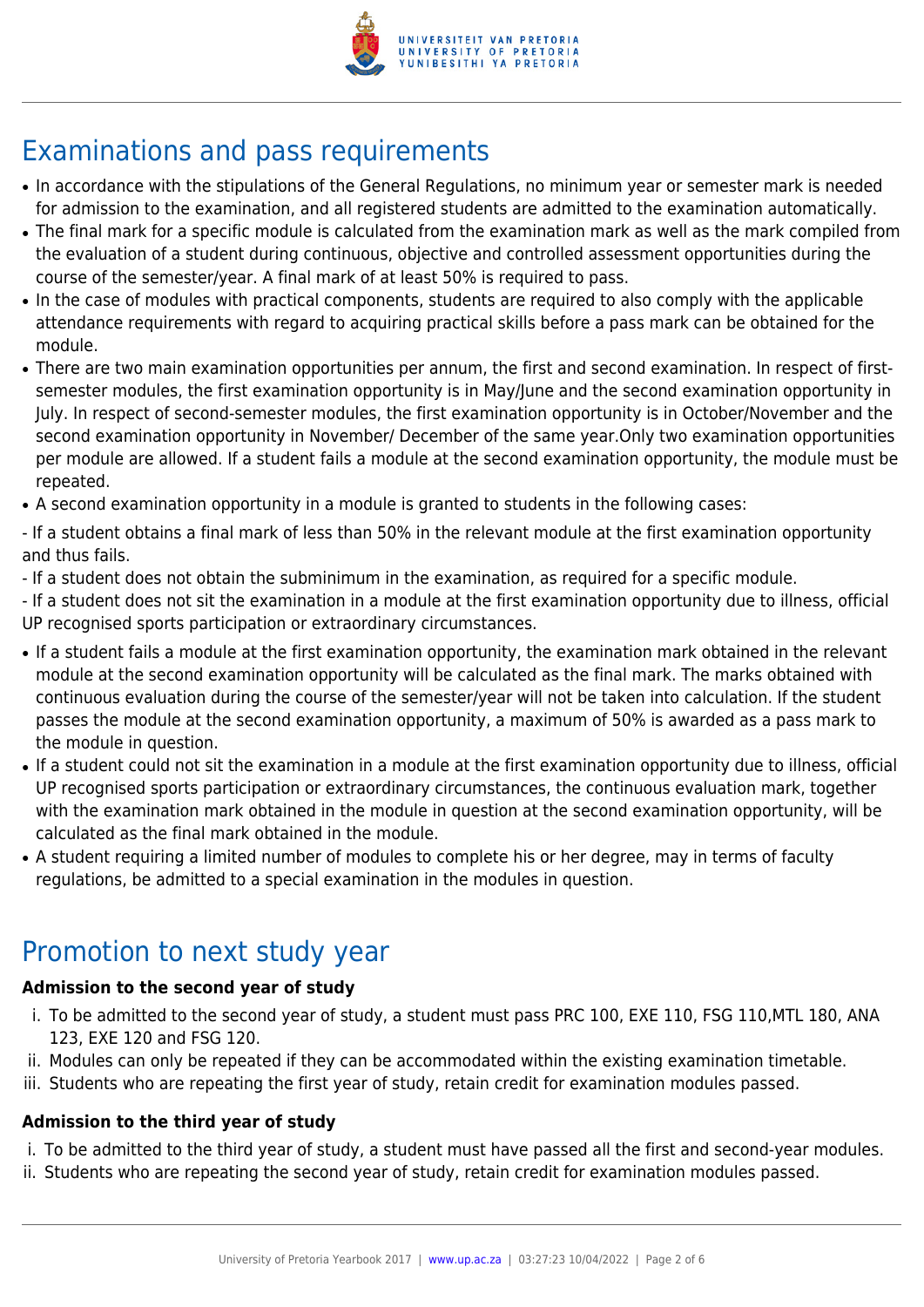

# Examinations and pass requirements

- In accordance with the stipulations of the General Regulations, no minimum year or semester mark is needed for admission to the examination, and all registered students are admitted to the examination automatically.
- The final mark for a specific module is calculated from the examination mark as well as the mark compiled from the evaluation of a student during continuous, objective and controlled assessment opportunities during the course of the semester/year. A final mark of at least 50% is required to pass.
- In the case of modules with practical components, students are required to also comply with the applicable attendance requirements with regard to acquiring practical skills before a pass mark can be obtained for the module.
- There are two main examination opportunities per annum, the first and second examination. In respect of firstsemester modules, the first examination opportunity is in May/June and the second examination opportunity in July. In respect of second-semester modules, the first examination opportunity is in October/November and the second examination opportunity in November/ December of the same year.Only two examination opportunities per module are allowed. If a student fails a module at the second examination opportunity, the module must be repeated.
- A second examination opportunity in a module is granted to students in the following cases:

- If a student obtains a final mark of less than 50% in the relevant module at the first examination opportunity and thus fails.

- If a student does not obtain the subminimum in the examination, as required for a specific module.

- If a student does not sit the examination in a module at the first examination opportunity due to illness, official UP recognised sports participation or extraordinary circumstances.

- If a student fails a module at the first examination opportunity, the examination mark obtained in the relevant module at the second examination opportunity will be calculated as the final mark. The marks obtained with continuous evaluation during the course of the semester/year will not be taken into calculation. If the student passes the module at the second examination opportunity, a maximum of 50% is awarded as a pass mark to the module in question.
- If a student could not sit the examination in a module at the first examination opportunity due to illness, official UP recognised sports participation or extraordinary circumstances, the continuous evaluation mark, together with the examination mark obtained in the module in question at the second examination opportunity, will be calculated as the final mark obtained in the module.
- A student requiring a limited number of modules to complete his or her degree, may in terms of faculty regulations, be admitted to a special examination in the modules in question.

# Promotion to next study year

### **Admission to the second year of study**

- i. To be admitted to the second year of study, a student must pass PRC 100, EXE 110, FSG 110,MTL 180, ANA 123, EXE 120 and FSG 120.
- ii. Modules can only be repeated if they can be accommodated within the existing examination timetable.
- iii. Students who are repeating the first year of study, retain credit for examination modules passed.

### **Admission to the third year of study**

- i. To be admitted to the third year of study, a student must have passed all the first and second-year modules.
- ii. Students who are repeating the second year of study, retain credit for examination modules passed.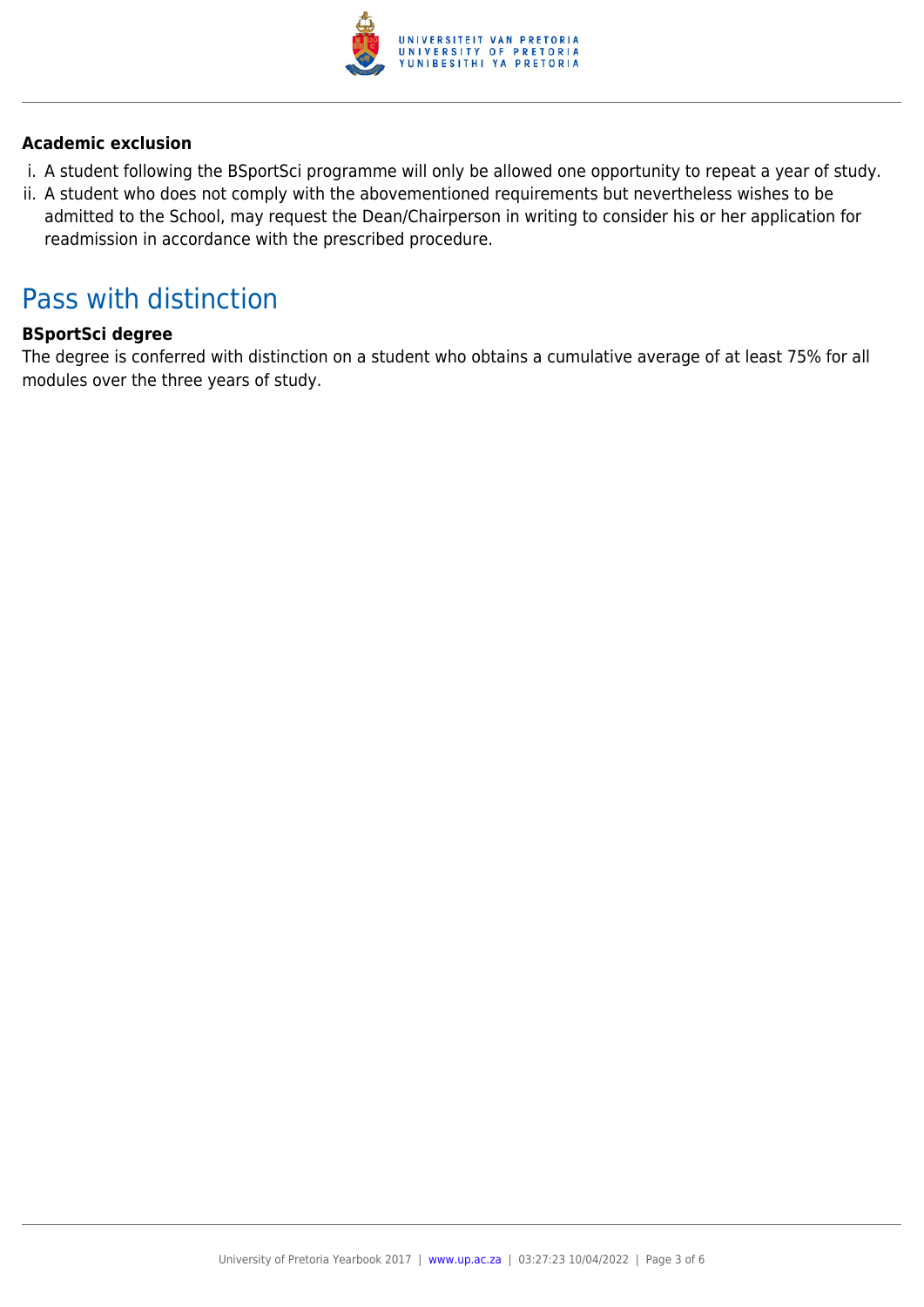

#### **Academic exclusion**

- i. A student following the BSportSci programme will only be allowed one opportunity to repeat a year of study.
- ii. A student who does not comply with the abovementioned requirements but nevertheless wishes to be admitted to the School, may request the Dean/Chairperson in writing to consider his or her application for readmission in accordance with the prescribed procedure.

## Pass with distinction

#### **BSportSci degree**

The degree is conferred with distinction on a student who obtains a cumulative average of at least 75% for all modules over the three years of study.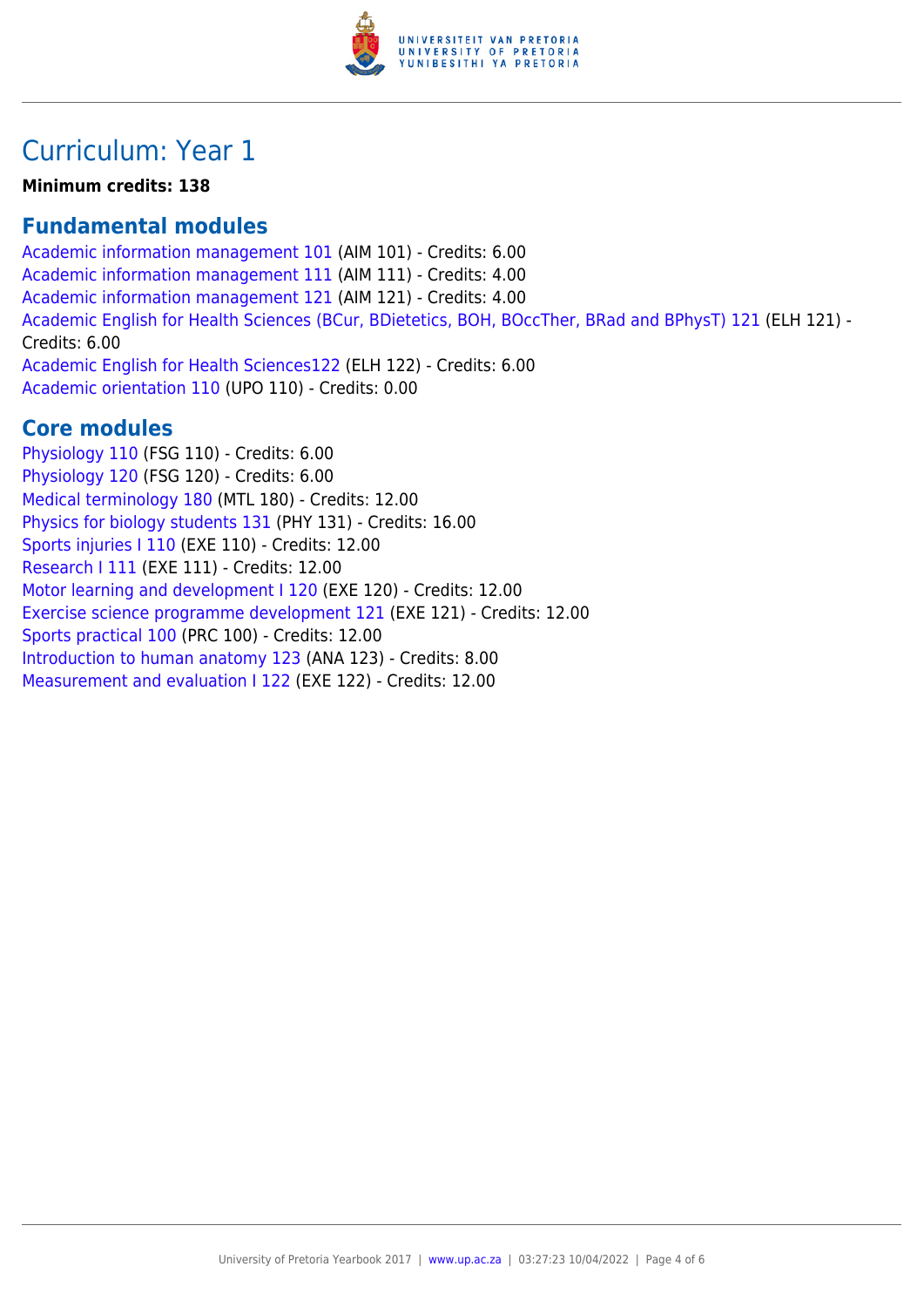

# Curriculum: Year 1

#### **Minimum credits: 138**

#### **Fundamental modules**

[Academic information management 101](https://www.up.ac.za/yearbooks/2017/modules/view/AIM 101) (AIM 101) - Credits: 6.00 [Academic information management 111](https://www.up.ac.za/yearbooks/2017/modules/view/AIM 111) (AIM 111) - Credits: 4.00 [Academic information management 121](https://www.up.ac.za/yearbooks/2017/modules/view/AIM 121) (AIM 121) - Credits: 4.00 [Academic English for Health Sciences \(BCur, BDietetics, BOH, BOccTher, BRad and BPhysT\) 121](https://www.up.ac.za/yearbooks/2017/modules/view/ELH 121) (ELH 121) - Credits: 6.00 [Academic English for Health Sciences122](https://www.up.ac.za/yearbooks/2017/modules/view/ELH 122) (ELH 122) - Credits: 6.00 [Academic orientation 110](https://www.up.ac.za/yearbooks/2017/modules/view/UPO 110) (UPO 110) - Credits: 0.00

### **Core modules**

[Physiology 110](https://www.up.ac.za/yearbooks/2017/modules/view/FSG 110) (FSG 110) - Credits: 6.00 [Physiology 120](https://www.up.ac.za/yearbooks/2017/modules/view/FSG 120) (FSG 120) - Credits: 6.00 [Medical terminology 180](https://www.up.ac.za/yearbooks/2017/modules/view/MTL 180) (MTL 180) - Credits: 12.00 [Physics for biology students 131](https://www.up.ac.za/yearbooks/2017/modules/view/PHY 131) (PHY 131) - Credits: 16.00 [Sports injuries I 110](https://www.up.ac.za/yearbooks/2017/modules/view/EXE 110) (EXE 110) - Credits: 12.00 [Research I 111](https://www.up.ac.za/yearbooks/2017/modules/view/EXE 111) (EXE 111) - Credits: 12.00 [Motor learning and development I 120](https://www.up.ac.za/yearbooks/2017/modules/view/EXE 120) (EXE 120) - Credits: 12.00 [Exercise science programme development 121](https://www.up.ac.za/yearbooks/2017/modules/view/EXE 121) (EXE 121) - Credits: 12.00 [Sports practical 100](https://www.up.ac.za/yearbooks/2017/modules/view/PRC 100) (PRC 100) - Credits: 12.00 [Introduction to human anatomy 123](https://www.up.ac.za/yearbooks/2017/modules/view/ANA 123) (ANA 123) - Credits: 8.00 [Measurement and evaluation I 122](https://www.up.ac.za/yearbooks/2017/modules/view/EXE 122) (EXE 122) - Credits: 12.00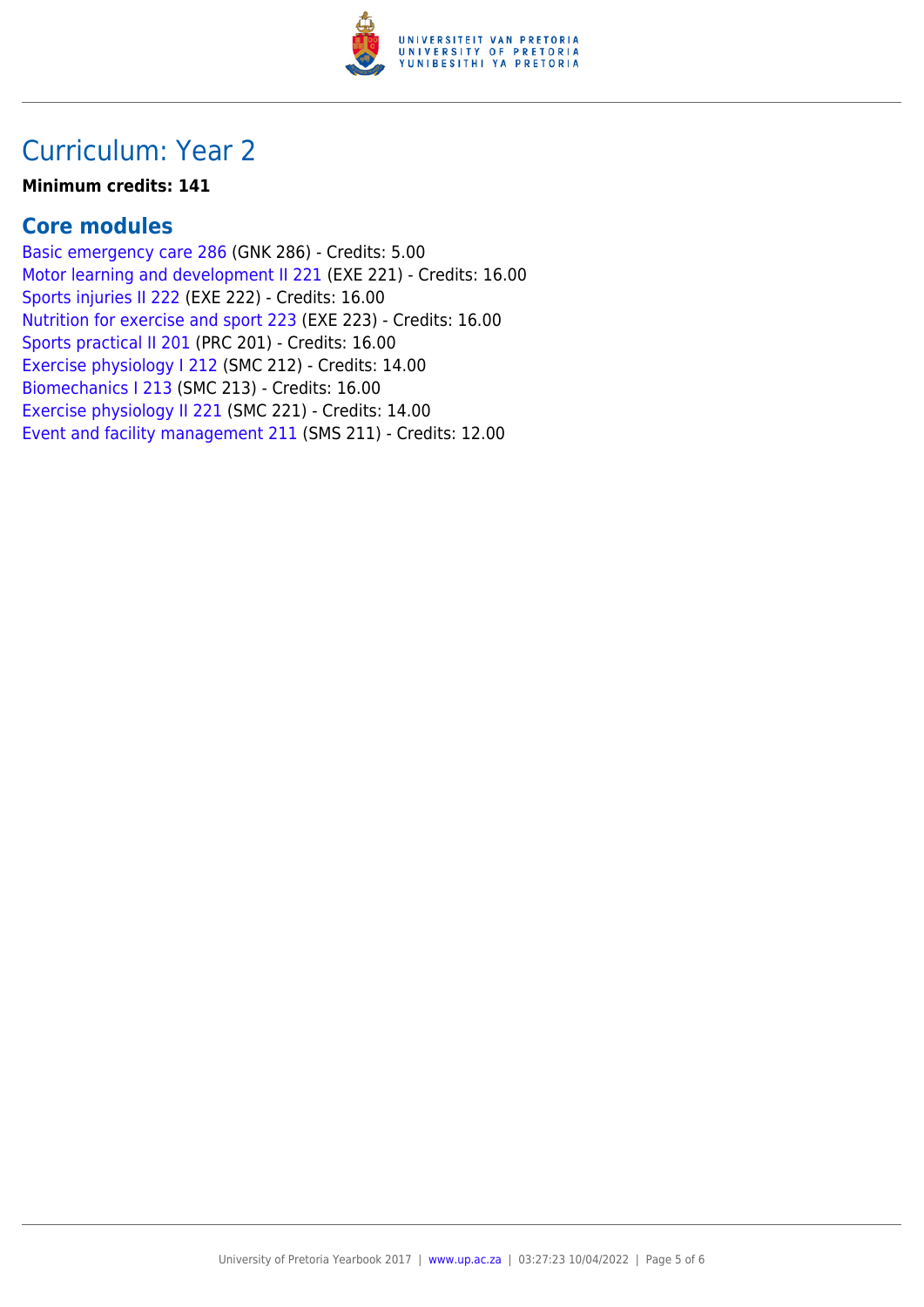

## Curriculum: Year 2

#### **Minimum credits: 141**

#### **Core modules**

[Basic emergency care 286](https://www.up.ac.za/yearbooks/2017/modules/view/GNK 286) (GNK 286) - Credits: 5.00 [Motor learning and development II 221](https://www.up.ac.za/yearbooks/2017/modules/view/EXE 221) (EXE 221) - Credits: 16.00 [Sports injuries II 222](https://www.up.ac.za/yearbooks/2017/modules/view/EXE 222) (EXE 222) - Credits: 16.00 [Nutrition for exercise and sport 223](https://www.up.ac.za/yearbooks/2017/modules/view/EXE 223) (EXE 223) - Credits: 16.00 [Sports practical II 201](https://www.up.ac.za/yearbooks/2017/modules/view/PRC 201) (PRC 201) - Credits: 16.00 [Exercise physiology I 212](https://www.up.ac.za/yearbooks/2017/modules/view/SMC 212) (SMC 212) - Credits: 14.00 [Biomechanics I 213](https://www.up.ac.za/yearbooks/2017/modules/view/SMC 213) (SMC 213) - Credits: 16.00 [Exercise physiology II 221](https://www.up.ac.za/yearbooks/2017/modules/view/SMC 221) (SMC 221) - Credits: 14.00 [Event and facility management 211](https://www.up.ac.za/yearbooks/2017/modules/view/SMS 211) (SMS 211) - Credits: 12.00